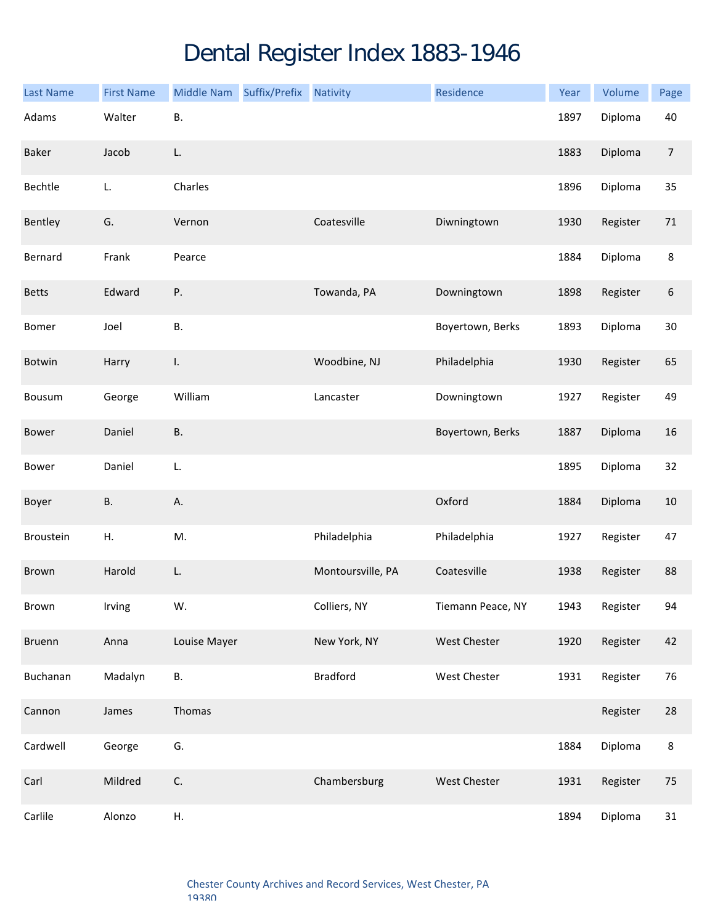## Dental Register Index 1883-1946

| <b>Last Name</b> | <b>First Name</b> | Middle Nam Suffix/Prefix | <b>Nativity</b>   | Residence           | Year | Volume   | Page           |
|------------------|-------------------|--------------------------|-------------------|---------------------|------|----------|----------------|
| Adams            | Walter            | В.                       |                   |                     | 1897 | Diploma  | 40             |
| Baker            | Jacob             | L.                       |                   |                     | 1883 | Diploma  | $\overline{7}$ |
| Bechtle          | L.                | Charles                  |                   |                     | 1896 | Diploma  | 35             |
| Bentley          | G.                | Vernon                   | Coatesville       | Diwningtown         | 1930 | Register | 71             |
| Bernard          | Frank             | Pearce                   |                   |                     | 1884 | Diploma  | $\bf 8$        |
| <b>Betts</b>     | Edward            | Ρ.                       | Towanda, PA       | Downingtown         | 1898 | Register | 6              |
| Bomer            | Joel              | <b>B.</b>                |                   | Boyertown, Berks    | 1893 | Diploma  | 30             |
| Botwin           | Harry             | $\mathbf{I}$ .           | Woodbine, NJ      | Philadelphia        | 1930 | Register | 65             |
| Bousum           | George            | William                  | Lancaster         | Downingtown         | 1927 | Register | 49             |
| Bower            | Daniel            | <b>B.</b>                |                   | Boyertown, Berks    | 1887 | Diploma  | 16             |
| Bower            | Daniel            | L.                       |                   |                     | 1895 | Diploma  | 32             |
| Boyer            | <b>B.</b>         | Α.                       |                   | Oxford              | 1884 | Diploma  | $10\,$         |
| Broustein        | Η.                | M.                       | Philadelphia      | Philadelphia        | 1927 | Register | 47             |
| Brown            | Harold            | L.                       | Montoursville, PA | Coatesville         | 1938 | Register | 88             |
| Brown            | Irving            | W.                       | Colliers, NY      | Tiemann Peace, NY   | 1943 | Register | 94             |
| Bruenn           | Anna              | Louise Mayer             | New York, NY      | <b>West Chester</b> | 1920 | Register | 42             |
| Buchanan         | Madalyn           | <b>B.</b>                | <b>Bradford</b>   | West Chester        | 1931 | Register | 76             |
| Cannon           | James             | Thomas                   |                   |                     |      | Register | 28             |
| Cardwell         | George            | G.                       |                   |                     | 1884 | Diploma  | $\bf 8$        |
| Carl             | Mildred           | C.                       | Chambersburg      | West Chester        | 1931 | Register | 75             |
| Carlile          | Alonzo            | Н.                       |                   |                     | 1894 | Diploma  | 31             |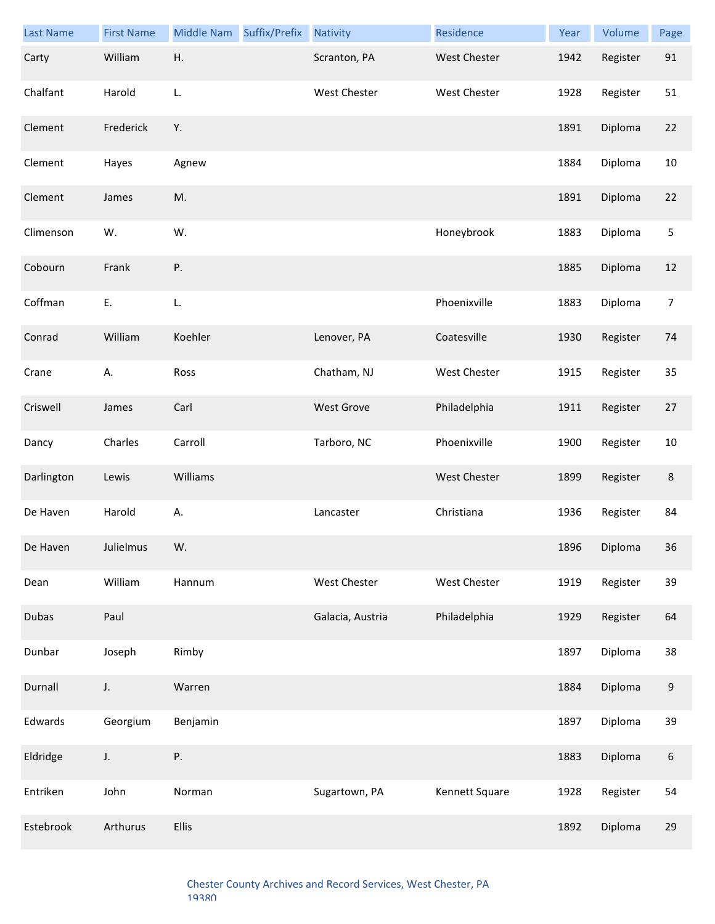| <b>Last Name</b> | <b>First Name</b> | Middle Nam | Suffix/Prefix | <b>Nativity</b>     | Residence           | Year | Volume   | Page             |
|------------------|-------------------|------------|---------------|---------------------|---------------------|------|----------|------------------|
| Carty            | William           | Η.         |               | Scranton, PA        | West Chester        | 1942 | Register | 91               |
| Chalfant         | Harold            | L.         |               | <b>West Chester</b> | West Chester        | 1928 | Register | 51               |
| Clement          | Frederick         | Υ.         |               |                     |                     | 1891 | Diploma  | 22               |
| Clement          | Hayes             | Agnew      |               |                     |                     | 1884 | Diploma  | $10\,$           |
| Clement          | James             | M.         |               |                     |                     | 1891 | Diploma  | 22               |
| Climenson        | W.                | W.         |               |                     | Honeybrook          | 1883 | Diploma  | $\mathsf S$      |
| Cobourn          | Frank             | Ρ.         |               |                     |                     | 1885 | Diploma  | 12               |
| Coffman          | Ε.                | L.         |               |                     | Phoenixville        | 1883 | Diploma  | $\overline{7}$   |
| Conrad           | William           | Koehler    |               | Lenover, PA         | Coatesville         | 1930 | Register | 74               |
| Crane            | А.                | Ross       |               | Chatham, NJ         | <b>West Chester</b> | 1915 | Register | 35               |
| Criswell         | James             | Carl       |               | West Grove          | Philadelphia        | 1911 | Register | 27               |
| Dancy            | Charles           | Carroll    |               | Tarboro, NC         | Phoenixville        | 1900 | Register | $10\,$           |
| Darlington       | Lewis             | Williams   |               |                     | <b>West Chester</b> | 1899 | Register | $\bf 8$          |
| De Haven         | Harold            | А.         |               | Lancaster           | Christiana          | 1936 | Register | 84               |
| De Haven         | Julielmus         | W.         |               |                     |                     | 1896 | Diploma  | 36               |
| Dean             | William           | Hannum     |               | West Chester        | West Chester        | 1919 | Register | 39               |
| Dubas            | Paul              |            |               | Galacia, Austria    | Philadelphia        | 1929 | Register | 64               |
| Dunbar           | Joseph            | Rimby      |               |                     |                     | 1897 | Diploma  | 38               |
| Durnall          | J.                | Warren     |               |                     |                     | 1884 | Diploma  | $\boldsymbol{9}$ |
| Edwards          | Georgium          | Benjamin   |               |                     |                     | 1897 | Diploma  | 39               |
| Eldridge         | J.                | Ρ.         |               |                     |                     | 1883 | Diploma  | 6                |
| Entriken         | John              | Norman     |               | Sugartown, PA       | Kennett Square      | 1928 | Register | 54               |
| Estebrook        | Arthurus          | Ellis      |               |                     |                     | 1892 | Diploma  | 29               |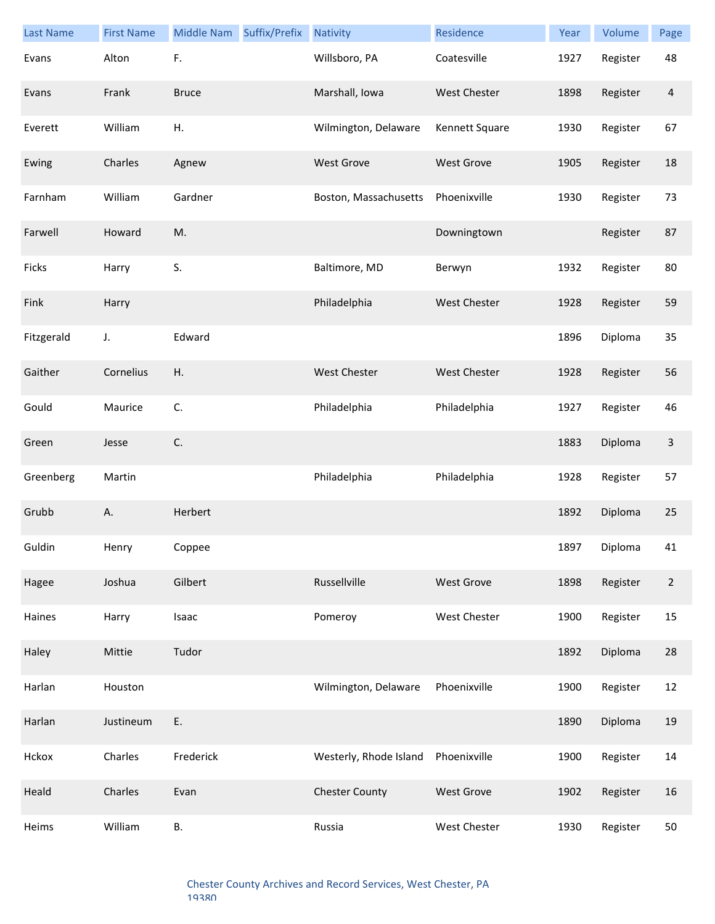| <b>Last Name</b> | <b>First Name</b> | Middle Nam   | Suffix/Prefix | <b>Nativity</b>        | Residence           | Year | Volume   | Page           |
|------------------|-------------------|--------------|---------------|------------------------|---------------------|------|----------|----------------|
| Evans            | Alton             | F.           |               | Willsboro, PA          | Coatesville         | 1927 | Register | 48             |
| Evans            | Frank             | <b>Bruce</b> |               | Marshall, Iowa         | West Chester        | 1898 | Register | $\overline{a}$ |
| Everett          | William           | Η.           |               | Wilmington, Delaware   | Kennett Square      | 1930 | Register | 67             |
| Ewing            | Charles           | Agnew        |               | <b>West Grove</b>      | <b>West Grove</b>   | 1905 | Register | 18             |
| Farnham          | William           | Gardner      |               | Boston, Massachusetts  | Phoenixville        | 1930 | Register | 73             |
| Farwell          | Howard            | M.           |               |                        | Downingtown         |      | Register | 87             |
| Ficks            | Harry             | S.           |               | Baltimore, MD          | Berwyn              | 1932 | Register | 80             |
| Fink             | Harry             |              |               | Philadelphia           | <b>West Chester</b> | 1928 | Register | 59             |
| Fitzgerald       | J.                | Edward       |               |                        |                     | 1896 | Diploma  | 35             |
| Gaither          | Cornelius         | Η.           |               | <b>West Chester</b>    | <b>West Chester</b> | 1928 | Register | 56             |
| Gould            | Maurice           | C.           |               | Philadelphia           | Philadelphia        | 1927 | Register | 46             |
| Green            | Jesse             | C.           |               |                        |                     | 1883 | Diploma  | 3              |
| Greenberg        | Martin            |              |               | Philadelphia           | Philadelphia        | 1928 | Register | 57             |
| Grubb            | Α.                | Herbert      |               |                        |                     | 1892 | Diploma  | 25             |
| Guldin           | Henry             | Coppee       |               |                        |                     | 1897 | Diploma  | 41             |
| Hagee            | Joshua            | Gilbert      |               | Russellville           | West Grove          | 1898 | Register | $\overline{2}$ |
| Haines           | Harry             | Isaac        |               | Pomeroy                | West Chester        | 1900 | Register | 15             |
| Haley            | Mittie            | Tudor        |               |                        |                     | 1892 | Diploma  | 28             |
| Harlan           | Houston           |              |               | Wilmington, Delaware   | Phoenixville        | 1900 | Register | 12             |
| Harlan           | Justineum         | Ε.           |               |                        |                     | 1890 | Diploma  | 19             |
| Hckox            | Charles           | Frederick    |               | Westerly, Rhode Island | Phoenixville        | 1900 | Register | 14             |
| Heald            | Charles           | Evan         |               | <b>Chester County</b>  | <b>West Grove</b>   | 1902 | Register | 16             |
| Heims            | William           | В.           |               | Russia                 | West Chester        | 1930 | Register | 50             |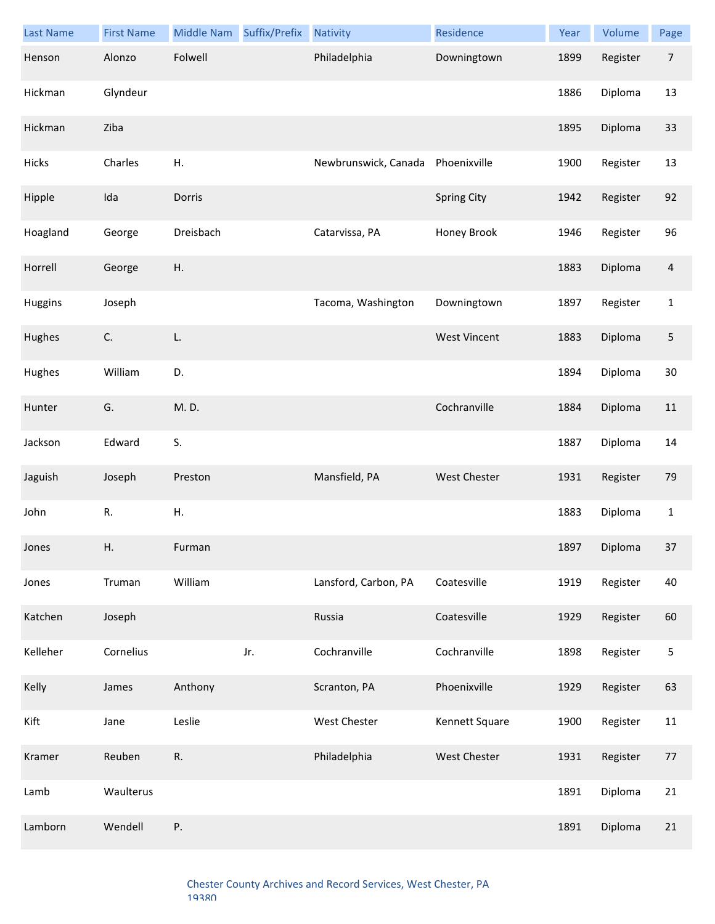| <b>Last Name</b> | <b>First Name</b> | Middle Nam | Suffix/Prefix | <b>Nativity</b>      | Residence           | Year | Volume   | Page           |
|------------------|-------------------|------------|---------------|----------------------|---------------------|------|----------|----------------|
| Henson           | Alonzo            | Folwell    |               | Philadelphia         | Downingtown         | 1899 | Register | $\overline{7}$ |
| Hickman          | Glyndeur          |            |               |                      |                     | 1886 | Diploma  | 13             |
| Hickman          | Ziba              |            |               |                      |                     | 1895 | Diploma  | 33             |
| Hicks            | Charles           | Η.         |               | Newbrunswick, Canada | Phoenixville        | 1900 | Register | 13             |
| Hipple           | Ida               | Dorris     |               |                      | <b>Spring City</b>  | 1942 | Register | 92             |
| Hoagland         | George            | Dreisbach  |               | Catarvissa, PA       | Honey Brook         | 1946 | Register | 96             |
| Horrell          | George            | Η.         |               |                      |                     | 1883 | Diploma  | $\overline{4}$ |
| Huggins          | Joseph            |            |               | Tacoma, Washington   | Downingtown         | 1897 | Register | $\mathbf 1$    |
| Hughes           | C.                | L.         |               |                      | <b>West Vincent</b> | 1883 | Diploma  | $\sqrt{5}$     |
| Hughes           | William           | D.         |               |                      |                     | 1894 | Diploma  | 30             |
| Hunter           | G.                | M.D.       |               |                      | Cochranville        | 1884 | Diploma  | 11             |
| Jackson          | Edward            | S.         |               |                      |                     | 1887 | Diploma  | 14             |
| Jaguish          | Joseph            | Preston    |               | Mansfield, PA        | <b>West Chester</b> | 1931 | Register | 79             |
| John             | R.                | Η.         |               |                      |                     | 1883 | Diploma  | $\mathbf{1}$   |
| Jones            | Η.                | Furman     |               |                      |                     | 1897 | Diploma  | 37             |
| Jones            | Truman            | William    |               | Lansford, Carbon, PA | Coatesville         | 1919 | Register | 40             |
| Katchen          | Joseph            |            |               | Russia               | Coatesville         | 1929 | Register | 60             |
| Kelleher         | Cornelius         |            | Jr.           | Cochranville         | Cochranville        | 1898 | Register | $\mathsf S$    |
| Kelly            | James             | Anthony    |               | Scranton, PA         | Phoenixville        | 1929 | Register | 63             |
| Kift             | Jane              | Leslie     |               | West Chester         | Kennett Square      | 1900 | Register | $11\,$         |
| Kramer           | Reuben            | R.         |               | Philadelphia         | West Chester        | 1931 | Register | $77$           |
| Lamb             | Waulterus         |            |               |                      |                     | 1891 | Diploma  | 21             |
| Lamborn          | Wendell           | Ρ.         |               |                      |                     | 1891 | Diploma  | 21             |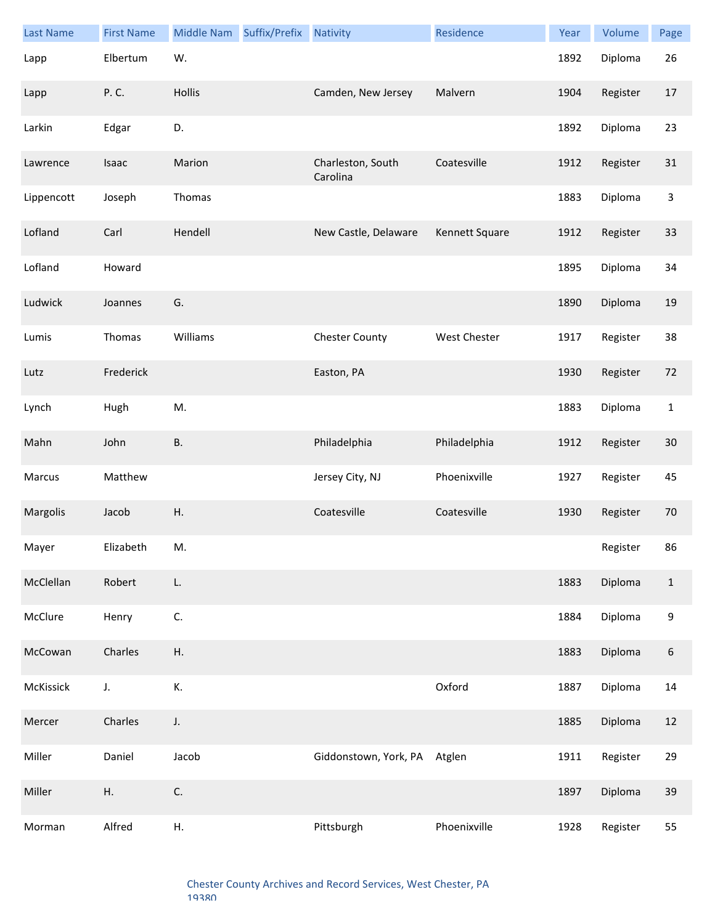| <b>Last Name</b> | <b>First Name</b> | Middle Nam    | Suffix/Prefix | <b>Nativity</b>               | Residence      | Year | Volume   | Page                      |
|------------------|-------------------|---------------|---------------|-------------------------------|----------------|------|----------|---------------------------|
| Lapp             | Elbertum          | W.            |               |                               |                | 1892 | Diploma  | 26                        |
| Lapp             | P. C.             | Hollis        |               | Camden, New Jersey            | Malvern        | 1904 | Register | 17                        |
| Larkin           | Edgar             | D.            |               |                               |                | 1892 | Diploma  | 23                        |
| Lawrence         | Isaac             | Marion        |               | Charleston, South<br>Carolina | Coatesville    | 1912 | Register | 31                        |
| Lippencott       | Joseph            | Thomas        |               |                               |                | 1883 | Diploma  | $\ensuremath{\mathsf{3}}$ |
| Lofland          | Carl              | Hendell       |               | New Castle, Delaware          | Kennett Square | 1912 | Register | 33                        |
| Lofland          | Howard            |               |               |                               |                | 1895 | Diploma  | 34                        |
| Ludwick          | Joannes           | G.            |               |                               |                | 1890 | Diploma  | 19                        |
| Lumis            | Thomas            | Williams      |               | <b>Chester County</b>         | West Chester   | 1917 | Register | 38                        |
| Lutz             | Frederick         |               |               | Easton, PA                    |                | 1930 | Register | 72                        |
| Lynch            | Hugh              | M.            |               |                               |                | 1883 | Diploma  | $\mathbf 1$               |
| Mahn             | John              | <b>B.</b>     |               | Philadelphia                  | Philadelphia   | 1912 | Register | 30                        |
| Marcus           | Matthew           |               |               | Jersey City, NJ               | Phoenixville   | 1927 | Register | 45                        |
| Margolis         | Jacob             | Η.            |               | Coatesville                   | Coatesville    | 1930 | Register | 70                        |
| Mayer            | Elizabeth         | M.            |               |                               |                |      | Register | 86                        |
| McClellan        | Robert            | L.            |               |                               |                | 1883 | Diploma  | $1\,$                     |
| McClure          | Henry             | C.            |               |                               |                | 1884 | Diploma  | $\boldsymbol{9}$          |
| McCowan          | Charles           | Η.            |               |                               |                | 1883 | Diploma  | 6                         |
| McKissick        | J.                | К.            |               |                               | Oxford         | 1887 | Diploma  | 14                        |
| Mercer           | Charles           | J.            |               |                               |                | 1885 | Diploma  | 12                        |
| Miller           | Daniel            | Jacob         |               | Giddonstown, York, PA Atglen  |                | 1911 | Register | 29                        |
| Miller           | Η.                | $\mathsf{C}.$ |               |                               |                | 1897 | Diploma  | 39                        |
| Morman           | Alfred            | Η.            |               | Pittsburgh                    | Phoenixville   | 1928 | Register | 55                        |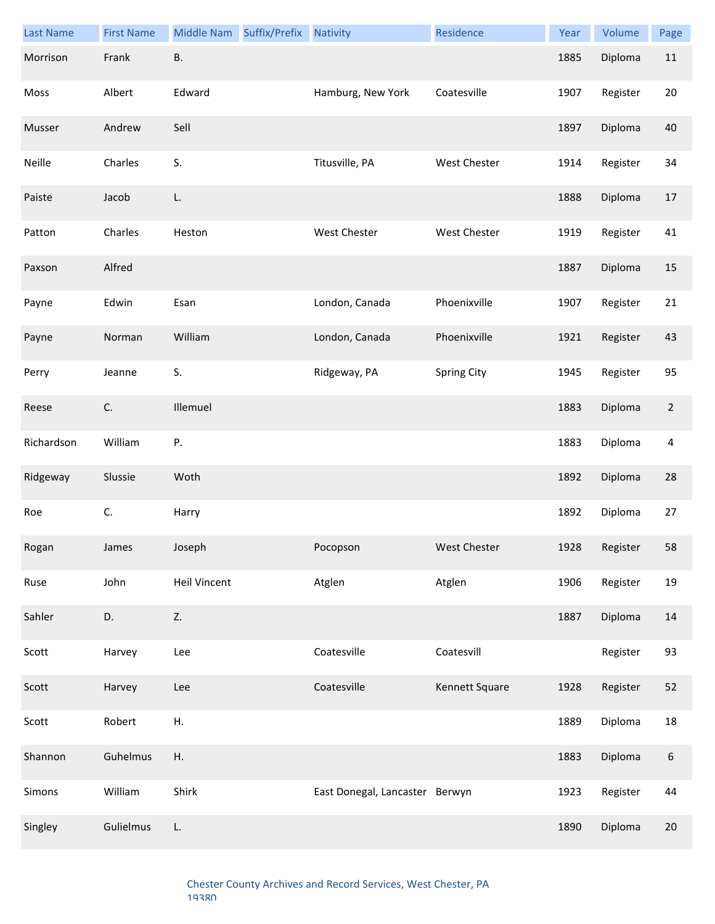| <b>Last Name</b> | <b>First Name</b> | Middle Nam Suffix/Prefix | <b>Nativity</b>                | Residence           | Year | Volume   | Page             |
|------------------|-------------------|--------------------------|--------------------------------|---------------------|------|----------|------------------|
| Morrison         | Frank             | <b>B.</b>                |                                |                     | 1885 | Diploma  | 11               |
| Moss             | Albert            | Edward                   | Hamburg, New York              | Coatesville         | 1907 | Register | 20               |
| Musser           | Andrew            | Sell                     |                                |                     | 1897 | Diploma  | 40               |
| Neille           | Charles           | S.                       | Titusville, PA                 | <b>West Chester</b> | 1914 | Register | 34               |
| Paiste           | Jacob             | L.                       |                                |                     | 1888 | Diploma  | $17\,$           |
| Patton           | Charles           | Heston                   | West Chester                   | <b>West Chester</b> | 1919 | Register | 41               |
| Paxson           | Alfred            |                          |                                |                     | 1887 | Diploma  | 15               |
| Payne            | Edwin             | Esan                     | London, Canada                 | Phoenixville        | 1907 | Register | 21               |
| Payne            | Norman            | William                  | London, Canada                 | Phoenixville        | 1921 | Register | 43               |
| Perry            | Jeanne            | S.                       | Ridgeway, PA                   | Spring City         | 1945 | Register | 95               |
| Reese            | C.                | Illemuel                 |                                |                     | 1883 | Diploma  | $\overline{2}$   |
| Richardson       | William           | Ρ.                       |                                |                     | 1883 | Diploma  | 4                |
| Ridgeway         | Slussie           | Woth                     |                                |                     | 1892 | Diploma  | 28               |
| Roe              | C.                | Harry                    |                                |                     | 1892 | Diploma  | 27               |
| Rogan            | James             | Joseph                   | Pocopson                       | West Chester        | 1928 | Register | 58               |
| Ruse             | John              | <b>Heil Vincent</b>      | Atglen                         | Atglen              | 1906 | Register | 19               |
| Sahler           | D.                | Z.                       |                                |                     | 1887 | Diploma  | 14               |
| Scott            | Harvey            | Lee                      | Coatesville                    | Coatesvill          |      | Register | 93               |
| Scott            | Harvey            | Lee                      | Coatesville                    | Kennett Square      | 1928 | Register | 52               |
| Scott            | Robert            | Η.                       |                                |                     | 1889 | Diploma  | 18               |
| Shannon          | Guhelmus          | Η.                       |                                |                     | 1883 | Diploma  | $\boldsymbol{6}$ |
| Simons           | William           | Shirk                    | East Donegal, Lancaster Berwyn |                     | 1923 | Register | 44               |
| Singley          | Gulielmus         | L.                       |                                |                     | 1890 | Diploma  | 20               |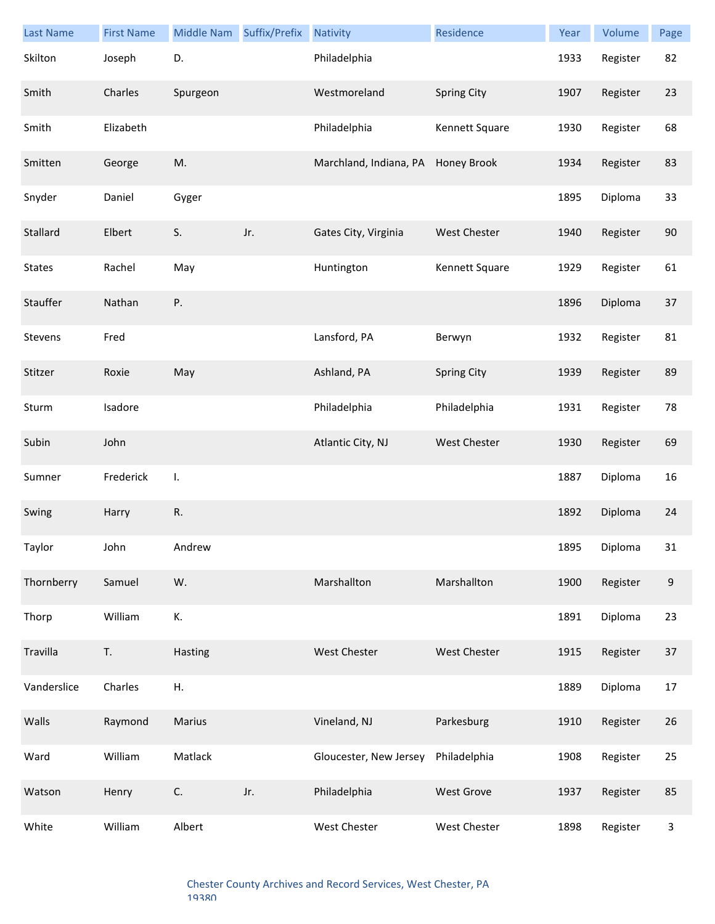| <b>Last Name</b> | <b>First Name</b> | Middle Nam   | Suffix/Prefix | <b>Nativity</b>        | Residence           | Year | Volume   | Page |
|------------------|-------------------|--------------|---------------|------------------------|---------------------|------|----------|------|
| Skilton          | Joseph            | D.           |               | Philadelphia           |                     | 1933 | Register | 82   |
| Smith            | Charles           | Spurgeon     |               | Westmoreland           | <b>Spring City</b>  | 1907 | Register | 23   |
| Smith            | Elizabeth         |              |               | Philadelphia           | Kennett Square      | 1930 | Register | 68   |
| Smitten          | George            | M.           |               | Marchland, Indiana, PA | Honey Brook         | 1934 | Register | 83   |
| Snyder           | Daniel            | Gyger        |               |                        |                     | 1895 | Diploma  | 33   |
| Stallard         | Elbert            | S.           | Jr.           | Gates City, Virginia   | <b>West Chester</b> | 1940 | Register | 90   |
| <b>States</b>    | Rachel            | May          |               | Huntington             | Kennett Square      | 1929 | Register | 61   |
| Stauffer         | Nathan            | Ρ.           |               |                        |                     | 1896 | Diploma  | 37   |
| Stevens          | Fred              |              |               | Lansford, PA           | Berwyn              | 1932 | Register | 81   |
| Stitzer          | Roxie             | May          |               | Ashland, PA            | <b>Spring City</b>  | 1939 | Register | 89   |
| Sturm            | Isadore           |              |               | Philadelphia           | Philadelphia        | 1931 | Register | 78   |
| Subin            | John              |              |               | Atlantic City, NJ      | <b>West Chester</b> | 1930 | Register | 69   |
| Sumner           | Frederick         | $\mathsf{L}$ |               |                        |                     | 1887 | Diploma  | 16   |
| Swing            | Harry             | R.           |               |                        |                     | 1892 | Diploma  | 24   |
| Taylor           | John              | Andrew       |               |                        |                     | 1895 | Diploma  | 31   |
| Thornberry       | Samuel            | W.           |               | Marshallton            | Marshallton         | 1900 | Register | 9    |
| Thorp            | William           | К.           |               |                        |                     | 1891 | Diploma  | 23   |
| Travilla         | T.                | Hasting      |               | West Chester           | <b>West Chester</b> | 1915 | Register | 37   |
| Vanderslice      | Charles           | Η.           |               |                        |                     | 1889 | Diploma  | 17   |
| Walls            | Raymond           | Marius       |               | Vineland, NJ           | Parkesburg          | 1910 | Register | 26   |
| Ward             | William           | Matlack      |               | Gloucester, New Jersey | Philadelphia        | 1908 | Register | 25   |
| Watson           | Henry             | C.           | Jr.           | Philadelphia           | <b>West Grove</b>   | 1937 | Register | 85   |
| White            | William           | Albert       |               | West Chester           | West Chester        | 1898 | Register | 3    |